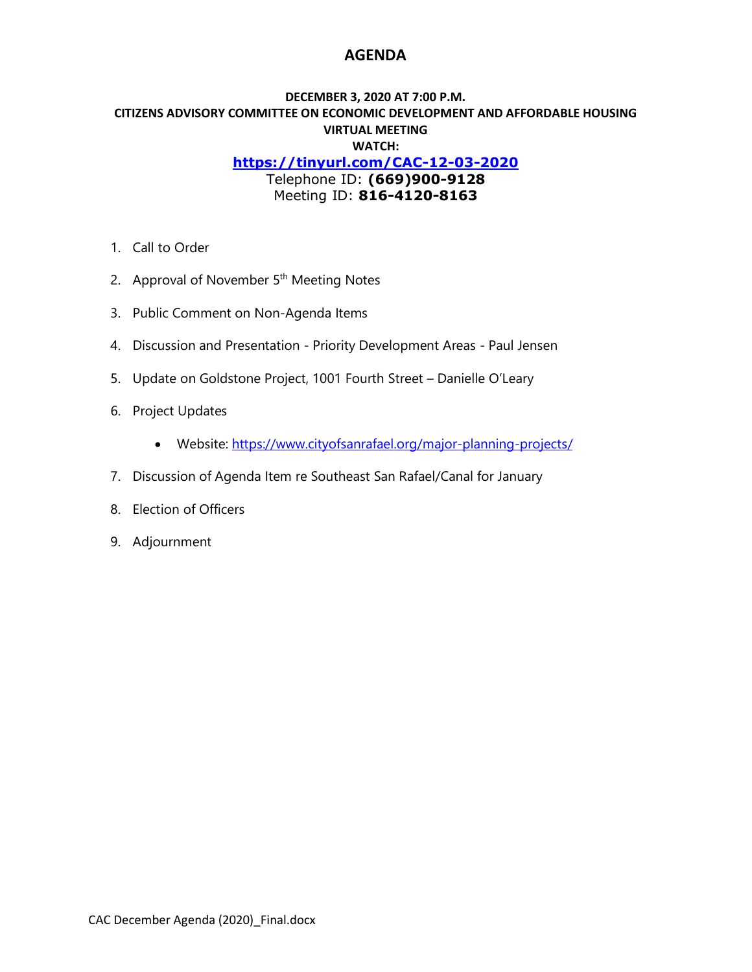## **AGENDA**

## **DECEMBER 3, 2020 AT 7:00 P.M. CITIZENS ADVISORY COMMITTEE ON ECONOMIC DEVELOPMENT AND AFFORDABLE HOUSING VIRTUAL MEETING WATCH: <https://tinyurl.com/CAC-12-03-2020>** Telephone ID: **(669)900-9128** Meeting ID: **816-4120-8163**

- 1. Call to Order
- 2. Approval of November  $5<sup>th</sup>$  Meeting Notes
- 3. Public Comment on Non-Agenda Items
- 4. Discussion and Presentation Priority Development Areas Paul Jensen
- 5. Update on Goldstone Project, 1001 Fourth Street Danielle O'Leary
- 6. Project Updates
	- Website[: https://www.cityofsanrafael.org/major-planning-projects/](https://www.cityofsanrafael.org/major-planning-projects/)
- 7. Discussion of Agenda Item re Southeast San Rafael/Canal for January
- 8. Election of Officers
- 9. Adjournment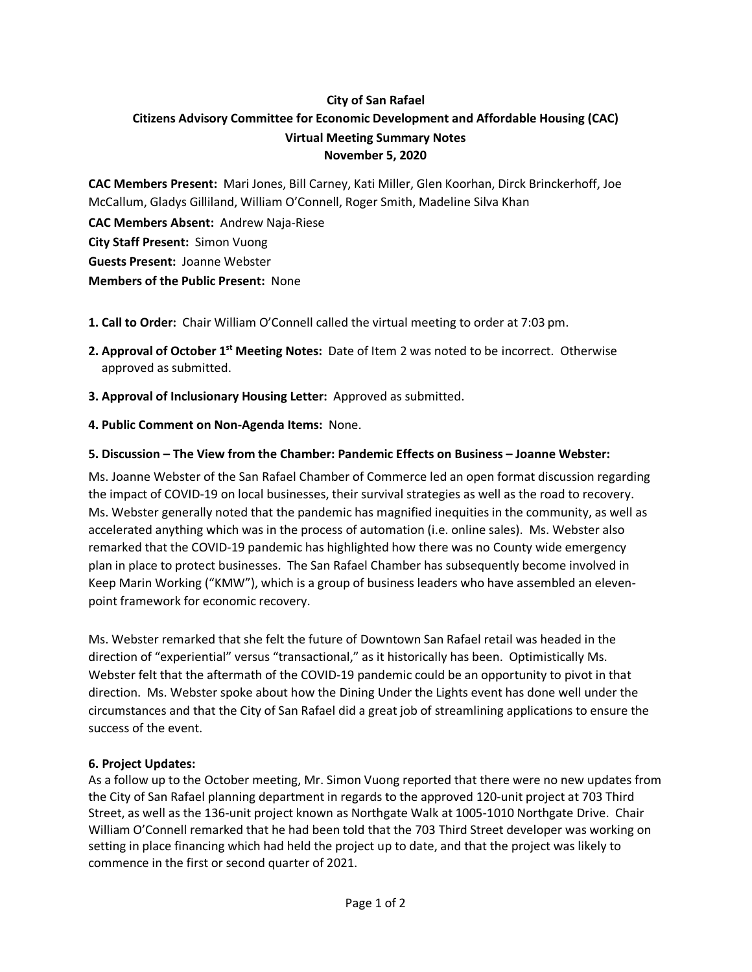# **City of San Rafael Citizens Advisory Committee for Economic Development and Affordable Housing (CAC) Virtual Meeting Summary Notes November 5, 2020**

**CAC Members Present:** Mari Jones, Bill Carney, Kati Miller, Glen Koorhan, Dirck Brinckerhoff, Joe McCallum, Gladys Gilliland, William O'Connell, Roger Smith, Madeline Silva Khan

**CAC Members Absent:** Andrew Naja-Riese **City Staff Present:** Simon Vuong **Guests Present:** Joanne Webster **Members of the Public Present:** None

- **1. Call to Order:** Chair William O'Connell called the virtual meeting to order at 7:03 pm.
- **2. Approval of October 1st Meeting Notes:** Date of Item 2 was noted to be incorrect. Otherwise approved as submitted.
- **3. Approval of Inclusionary Housing Letter:** Approved as submitted.
- **4. Public Comment on Non-Agenda Items:** None.

## **5. Discussion – The View from the Chamber: Pandemic Effects on Business – Joanne Webster:**

Ms. Joanne Webster of the San Rafael Chamber of Commerce led an open format discussion regarding the impact of COVID-19 on local businesses, their survival strategies as well as the road to recovery. Ms. Webster generally noted that the pandemic has magnified inequities in the community, as well as accelerated anything which was in the process of automation (i.e. online sales). Ms. Webster also remarked that the COVID-19 pandemic has highlighted how there was no County wide emergency plan in place to protect businesses. The San Rafael Chamber has subsequently become involved in Keep Marin Working ("KMW"), which is a group of business leaders who have assembled an elevenpoint framework for economic recovery.

Ms. Webster remarked that she felt the future of Downtown San Rafael retail was headed in the direction of "experiential" versus "transactional," as it historically has been. Optimistically Ms. Webster felt that the aftermath of the COVID-19 pandemic could be an opportunity to pivot in that direction. Ms. Webster spoke about how the Dining Under the Lights event has done well under the circumstances and that the City of San Rafael did a great job of streamlining applications to ensure the success of the event.

#### **6. Project Updates:**

As a follow up to the October meeting, Mr. Simon Vuong reported that there were no new updates from the City of San Rafael planning department in regards to the approved 120-unit project at 703 Third Street, as well as the 136-unit project known as Northgate Walk at 1005-1010 Northgate Drive. Chair William O'Connell remarked that he had been told that the 703 Third Street developer was working on setting in place financing which had held the project up to date, and that the project was likely to commence in the first or second quarter of 2021.